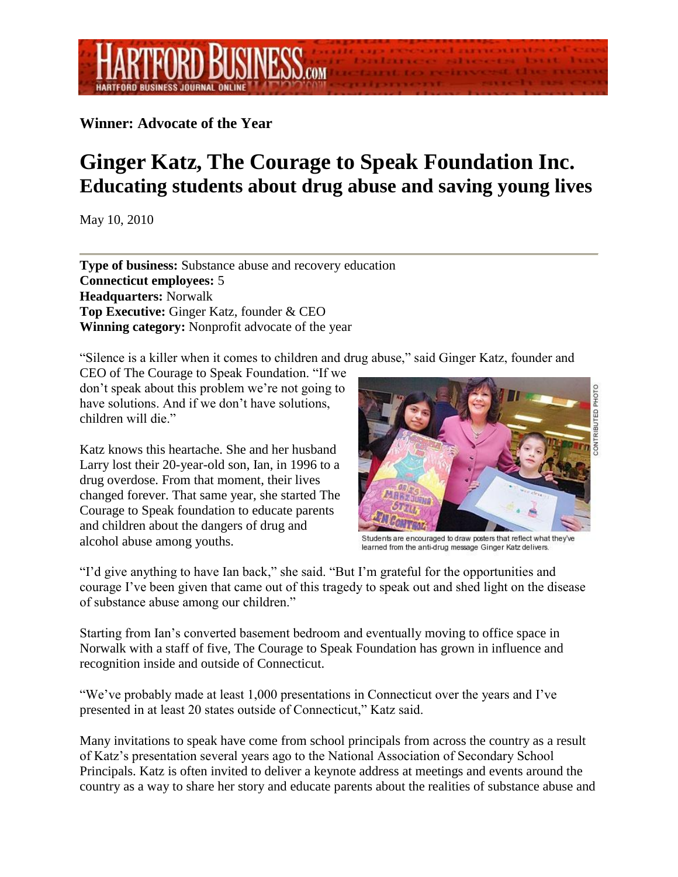## **Winner: Advocate of the Year**

## **Ginger Katz, The Courage to Speak Foundation Inc. Educating students about drug abuse and saving young lives**

May 10, 2010

**Type of business:** Substance abuse and recovery education **Connecticut employees:** 5 **Headquarters:** Norwalk **Top Executive:** Ginger Katz, founder & CEO **Winning category:** Nonprofit advocate of the year

"Silence is a killer when it comes to children and drug abuse," said Ginger Katz, founder and

CEO of The Courage to Speak Foundation. "If we don't speak about this problem we're not going to have solutions. And if we don't have solutions, children will die."

Katz knows this heartache. She and her husband Larry lost their 20-year-old son, Ian, in 1996 to a drug overdose. From that moment, their lives changed forever. That same year, she started The Courage to Speak foundation to educate parents and children about the dangers of drug and alcohol abuse among youths.



Students are encouraged to draw posters that reflect what they've learned from the anti-drug message Ginger Katz delivers.

"I'd give anything to have Ian back," she said. "But I'm grateful for the opportunities and courage I've been given that came out of this tragedy to speak out and shed light on the disease of substance abuse among our children."

Starting from Ian's converted basement bedroom and eventually moving to office space in Norwalk with a staff of five, The Courage to Speak Foundation has grown in influence and recognition inside and outside of Connecticut.

"We've probably made at least 1,000 presentations in Connecticut over the years and I've presented in at least 20 states outside of Connecticut," Katz said.

Many invitations to speak have come from school principals from across the country as a result of Katz's presentation several years ago to the National Association of Secondary School Principals. Katz is often invited to deliver a keynote address at meetings and events around the country as a way to share her story and educate parents about the realities of substance abuse and